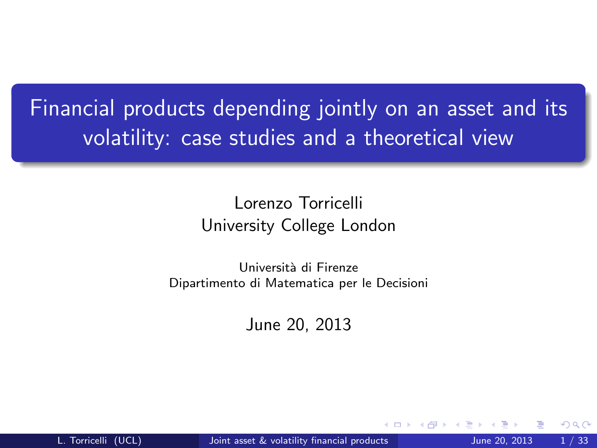Financial products depending jointly on an asset and its volatility: case studies and a theoretical view

#### Lorenzo Torricelli University College London

Università di Firenze Dipartimento di Matematica per le Decisioni

<span id="page-0-0"></span>June 20, 2013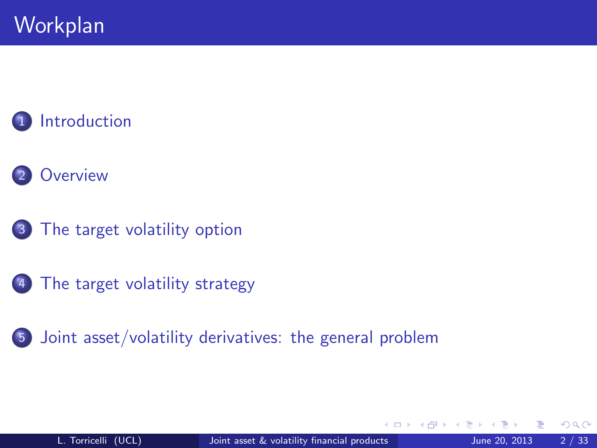#### **[Introduction](#page-2-0)**



3 [The target volatility option](#page-9-0)

4 [The target volatility strategy](#page-25-0)

5 [Joint asset/volatility derivatives: the general problem](#page-38-0)

 $\leftarrow$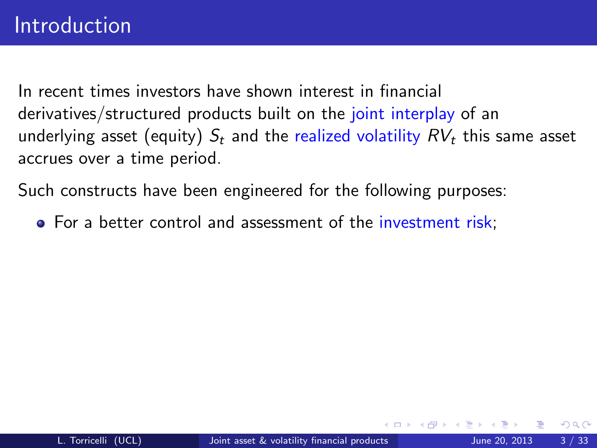Such constructs have been engineered for the following purposes:

<span id="page-2-0"></span>• For a better control and assessment of the investment risk;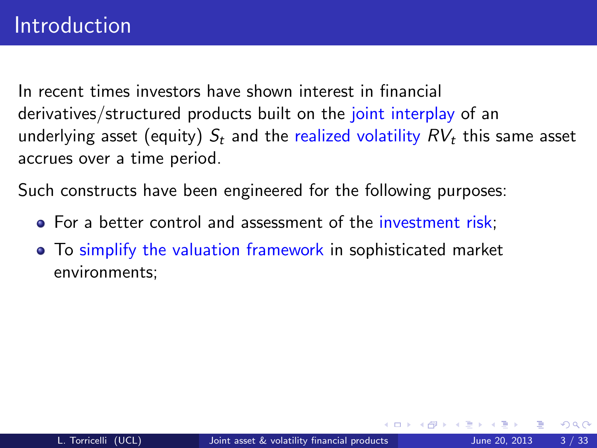Such constructs have been engineered for the following purposes:

- For a better control and assessment of the investment risk;
- To simplify the valuation framework in sophisticated market environments;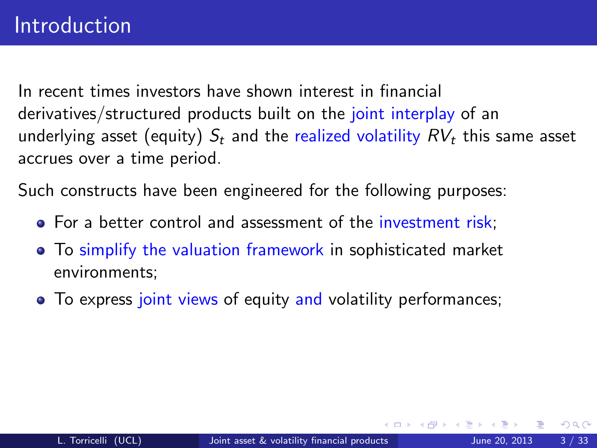Such constructs have been engineered for the following purposes:

- For a better control and assessment of the investment risk;
- To simplify the valuation framework in sophisticated market environments;
- To express joint views of equity and volatility performances;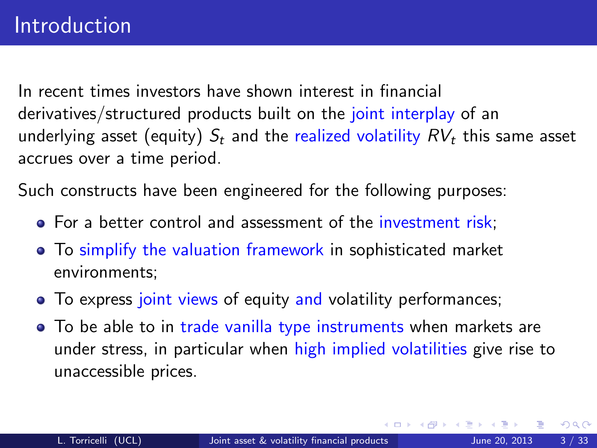Such constructs have been engineered for the following purposes:

- For a better control and assessment of the investment risk;
- To simplify the valuation framework in sophisticated market environments;
- To express joint views of equity and volatility performances;
- To be able to in trade vanilla type instruments when markets are under stress, in particular when high implied volatilities give rise to unaccessible prices.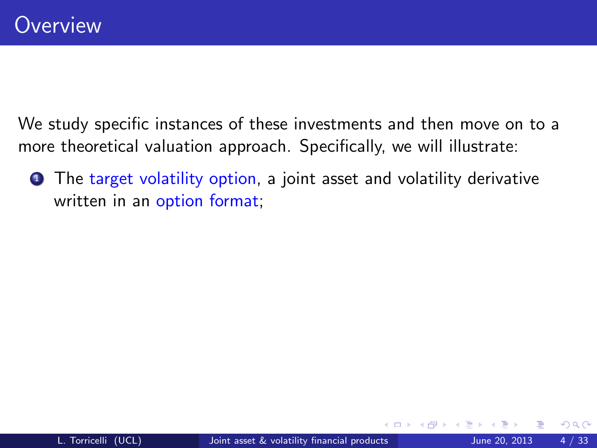We study specific instances of these investments and then move on to a more theoretical valuation approach. Specifically, we will illustrate:

<span id="page-6-0"></span>**1** The target volatility option, a joint asset and volatility derivative written in an option format;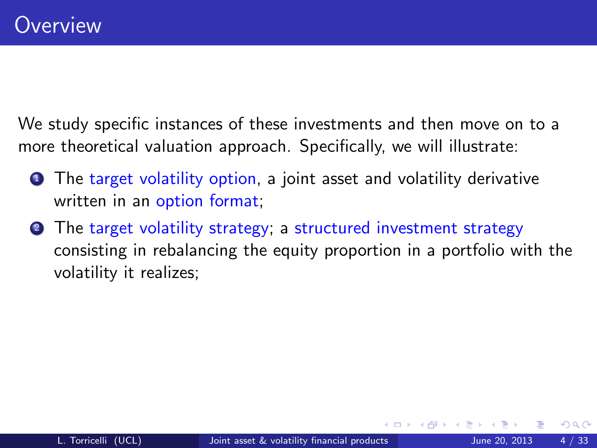We study specific instances of these investments and then move on to a more theoretical valuation approach. Specifically, we will illustrate:

- **1** The target volatility option, a joint asset and volatility derivative written in an option format;
- <sup>2</sup> The target volatility strategy; a structured investment strategy consisting in rebalancing the equity proportion in a portfolio with the volatility it realizes;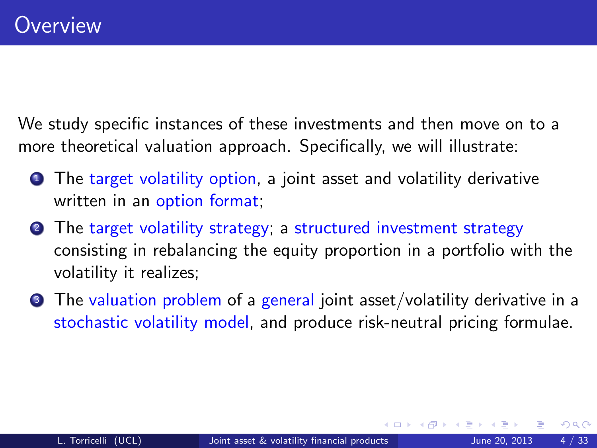We study specific instances of these investments and then move on to a more theoretical valuation approach. Specifically, we will illustrate:

- **1** The target volatility option, a joint asset and volatility derivative written in an option format;
- <sup>2</sup> The target volatility strategy; a structured investment strategy consisting in rebalancing the equity proportion in a portfolio with the volatility it realizes;
- <span id="page-8-0"></span>**3** The valuation problem of a general joint asset/volatility derivative in a stochastic volatility model, and produce risk-neutral pricing formulae.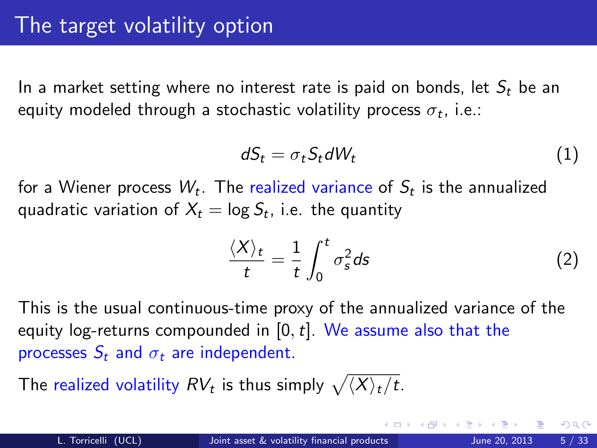In a market setting where no interest rate is paid on bonds, let  $S_t$  be an equity modeled through a stochastic volatility process  $\sigma_t$ , i.e.:

$$
dS_t = \sigma_t S_t dW_t \tag{1}
$$

for a Wiener process  $W_t$ . The realized variance of  $\mathcal{S}_t$  is the annualized quadratic variation of  $X_t = \log \mathcal{S}_t$ , i.e. the quantity

<span id="page-9-0"></span>
$$
\frac{\langle X \rangle_t}{t} = \frac{1}{t} \int_0^t \sigma_s^2 ds \tag{2}
$$

This is the usual continuous-time proxy of the annualized variance of the equity log-returns compounded in  $[0, t]$ . We assume also that the processes  $S_t$  and  $\sigma_t$  are independent.

The realized volatility  $RV_t$  is thus simply  $\sqrt{\langle X\rangle_t/t}.$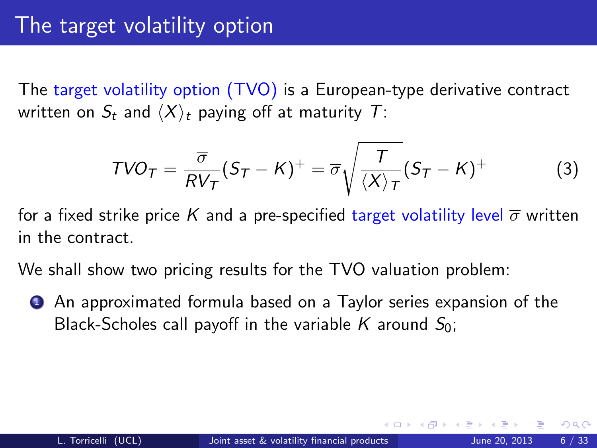The target volatility option (TVO) is a European-type derivative contract written on  $S_t$  and  $\langle X \rangle_t$  paying off at maturity T:

$$
TVO_T = \frac{\overline{\sigma}}{RV_T}(S_T - K)^+ = \overline{\sigma}\sqrt{\frac{T}{\langle X\rangle_T}}(S_T - K)^+ \tag{3}
$$

for a fixed strike price K and a pre-specified target volatility level  $\overline{\sigma}$  written in the contract.

We shall show two pricing results for the TVO valuation problem:

**1** An approximated formula based on a Taylor series expansion of the Black-Scholes call payoff in the variable K around  $S_0$ ;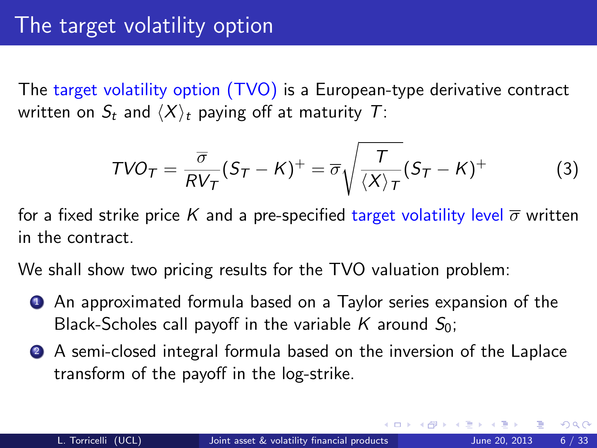The target volatility option (TVO) is a European-type derivative contract written on  $S_t$  and  $\langle X \rangle_t$  paying off at maturity T:

<span id="page-11-0"></span>
$$
TVO_T = \frac{\overline{\sigma}}{RV_T}(S_T - K)^+ = \overline{\sigma}\sqrt{\frac{T}{\langle X\rangle_T}}(S_T - K)^+ \tag{3}
$$

for a fixed strike price K and a pre-specified target volatility level  $\overline{\sigma}$  written in the contract.

We shall show two pricing results for the TVO valuation problem:

- **1** An approximated formula based on a Taylor series expansion of the Black-Scholes call payoff in the variable K around  $S_0$ ;
- <sup>2</sup> A semi-closed integral formula based on the inversion of the Laplace transform of the payoff in the log-strike.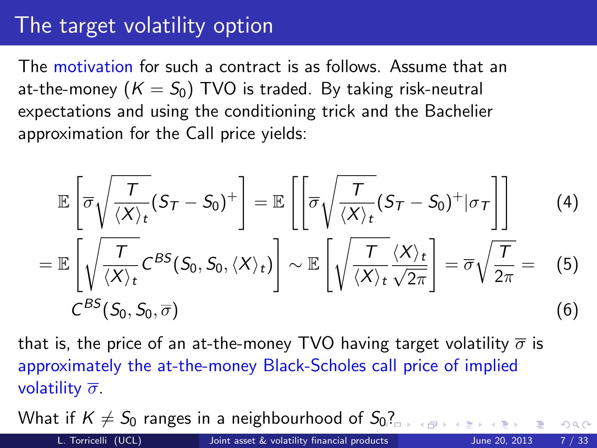### The target volatility option

The motivation for such a contract is as follows. Assume that an at-the-money  $(K = S_0)$  TVO is traded. By taking risk-neutral expectations and using the conditioning trick and the Bachelier approximation for the Call price yields:

<span id="page-12-0"></span>
$$
\mathbb{E}\left[\overline{\sigma}\sqrt{\frac{T}{\langle X\rangle_{t}}}(S_{T}-S_{0})^{+}\right]=\mathbb{E}\left[\left[\overline{\sigma}\sqrt{\frac{T}{\langle X\rangle_{t}}}(S_{T}-S_{0})^{+}|\sigma_{T}\right]\right]
$$
(4)  

$$
=\mathbb{E}\left[\sqrt{\frac{T}{\langle X\rangle_{t}}}\mathcal{C}^{BS}(S_{0},S_{0},\langle X\rangle_{t})\right]\sim\mathbb{E}\left[\sqrt{\frac{T}{\langle X\rangle_{t}}\frac{\langle X\rangle_{t}}{\sqrt{2\pi}}}\right]=\overline{\sigma}\sqrt{\frac{T}{2\pi}}=(5)
$$

$$
\mathcal{C}^{BS}(S_{0},S_{0},\overline{\sigma})
$$
(6)

that is, the price of an at-the-money TVO having target volatility  $\bar{\sigma}$  is approximately the at-the-money Black-Scholes call price of implied volatility  $\overline{\sigma}$ .

What if  $K \neq S_0$  $K \neq S_0$  ranges in a neighbourhood of  $S_0$ ?

<span id="page-12-1"></span> $QQ$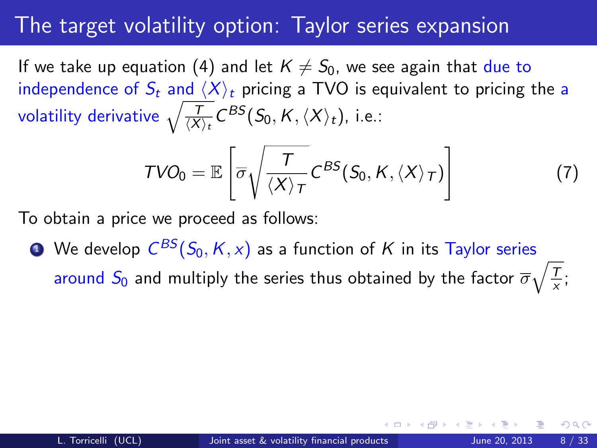If we take up equation [\(4\)](#page-12-0) and let  $K \neq S_0$ , we see again that due to independence of  $S_t$  and  $\langle X \rangle_t$  pricing a TVO is equivalent to pricing the a volatility derivative  $\sqrt{\frac{ T}{\langle X \rangle_t}} C^{BS}(S_0, K, \langle X \rangle_t)$ , i.e.:

<span id="page-13-1"></span><span id="page-13-0"></span>
$$
TVO_0 = \mathbb{E}\left[\overline{\sigma}\sqrt{\frac{T}{\langle X\rangle_T}} C^{BS}(S_0, K, \langle X\rangle_T)\right]
$$
(7)

To obtain a price we proceed as follows:

 $\bullet$  We develop  $\mathcal{C}^{BS}(S_0, K, \textcolor{red}{x})$  as a function of  $K$  in its Taylor series around  $S_0$  and multiply the series thus obtained by the factor  $\overline{\sigma}\sqrt{\frac{T}{\mathsf{x}}}$  $\frac{1}{x}$ ;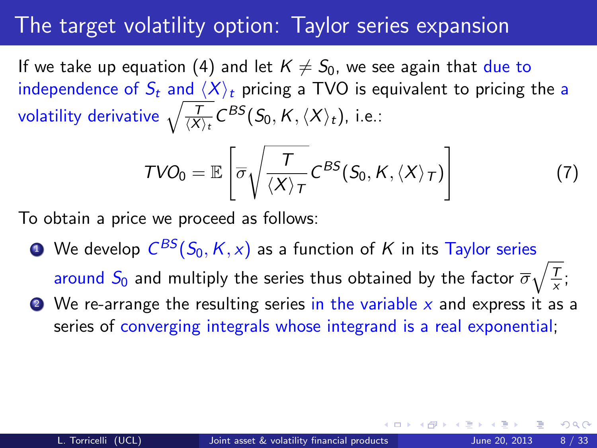If we take up equation [\(4\)](#page-12-0) and let  $K \neq S_0$ , we see again that due to independence of  $S_t$  and  $\langle X \rangle_t$  pricing a TVO is equivalent to pricing the a volatility derivative  $\sqrt{\frac{ T}{\langle X \rangle_t}} C^{BS}(S_0, K, \langle X \rangle_t)$ , i.e.:

$$
TVO_0 = \mathbb{E}\left[\overline{\sigma}\sqrt{\frac{T}{\langle X\rangle_T}} C^{BS}(S_0, K, \langle X\rangle_T)\right]
$$
 (7)

To obtain a price we proceed as follows:

 $\bullet$  We develop  $\mathcal{C}^{BS}(S_0, K, \textcolor{red}{x})$  as a function of  $K$  in its Taylor series around  $S_0$  and multiply the series thus obtained by the factor  $\overline{\sigma}\sqrt{\frac{T}{\mathsf{x}}}$  $\frac{1}{x}$ ;  $\bullet$  We re-arrange the resulting series in the variable x and express it as a

series of converging integrals whose integrand is a real exponential;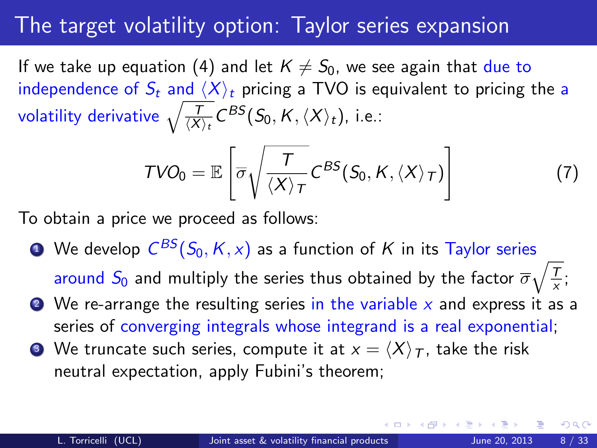If we take up equation [\(4\)](#page-12-0) and let  $K \neq S_0$ , we see again that due to independence of  $S_t$  and  $\langle X \rangle_t$  pricing a TVO is equivalent to pricing the a volatility derivative  $\sqrt{\frac{ T}{\langle X \rangle_t}} C^{BS}(S_0, K, \langle X \rangle_t)$ , i.e.:

<span id="page-15-0"></span>
$$
TVO_0 = \mathbb{E}\left[\overline{\sigma}\sqrt{\frac{T}{\langle X\rangle_T}} C^{BS}(S_0, K, \langle X\rangle_T)\right]
$$
(7)

To obtain a price we proceed as follows:

- $\bullet$  We develop  $\mathcal{C}^{BS}(S_0, K, \textcolor{red}{x})$  as a function of  $K$  in its Taylor series around  $S_0$  and multiply the series thus obtained by the factor  $\overline{\sigma}\sqrt{\frac{T}{\mathsf{x}}}$  $\frac{1}{x}$ ;
- $\bullet$  We re-arrange the resulting series in the variable x and express it as a series of converging integrals whose integrand is a real exponential;
- **3** We truncate such series, compute it at  $x = \langle X \rangle_T$ , take the risk neutral expectation, apply Fubini's theorem;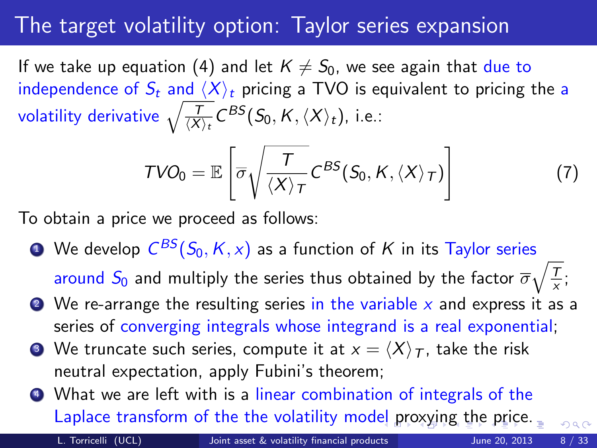If we take up equation [\(4\)](#page-12-0) and let  $K \neq S_0$ , we see again that due to independence of  $S_t$  and  $\langle X \rangle_t$  pricing a TVO is equivalent to pricing the a volatility derivative  $\sqrt{\frac{ T}{\langle X \rangle_t}} C^{BS}(S_0, K, \langle X \rangle_t)$ , i.e.:

$$
TVO_0 = \mathbb{E}\left[\overline{\sigma}\sqrt{\frac{T}{\langle X\rangle_T}} C^{BS}(S_0, K, \langle X\rangle_T)\right]
$$
(7)

To obtain a price we proceed as follows:

- $\bullet$  We develop  $\mathcal{C}^{BS}(S_0, K, \textcolor{red}{x})$  as a function of  $K$  in its Taylor series around  $S_0$  and multiply the series thus obtained by the factor  $\overline{\sigma}\sqrt{\frac{T}{\mathsf{x}}}$  $\frac{1}{x}$ ;
- $\bullet$  We re-arrange the resulting series in the variable x and express it as a series of converging integrals whose integrand is a real exponential;
- $\bullet$  We truncate such series, compute it at  $x = \langle X \rangle_T$ , take the risk neutral expectation, apply Fubini's theorem;
- <sup>4</sup> What we are left with is a linear combination of integrals of the Laplace transform of the the volatility mod[el](#page-15-0) [pro](#page-17-0)[x](#page-12-1)[y](#page-13-0)[i](#page-24-0)[n](#page-17-0)[g](#page-8-0) [t](#page-9-0)[h](#page-24-0)[e](#page-25-0) [pr](#page-9-0)i[c](#page-25-0)[e.](#page-0-0)

<span id="page-16-0"></span>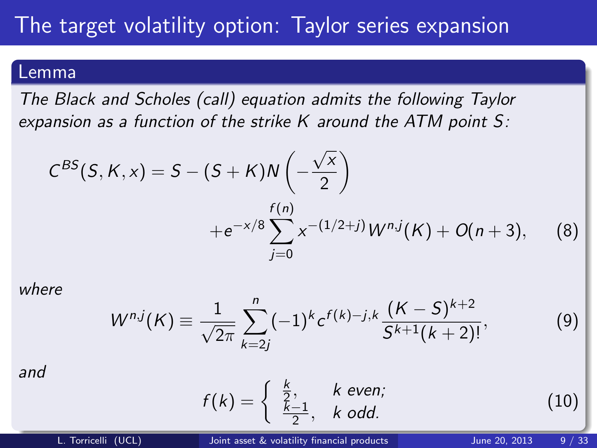#### Lemma

The Black and Scholes (call) equation admits the following Taylor expansion as a function of the strike K around the ATM point S:

<span id="page-17-1"></span>
$$
C^{BS}(S, K, x) = S - (S + K)N\left(-\frac{\sqrt{x}}{2}\right)
$$
  
 
$$
+e^{-x/8}\sum_{j=0}^{f(n)} x^{-(1/2+j)}W^{n,j}(K) + O(n+3), \qquad (8)
$$

where

$$
W^{n,j}(K) \equiv \frac{1}{\sqrt{2\pi}} \sum_{k=2j}^{n} (-1)^k c^{f(k)-j,k} \frac{(K-S)^{k+2}}{S^{k+1}(k+2)!},
$$
 (9)

and

<span id="page-17-0"></span>
$$
f(k) = \begin{cases} \frac{k}{2}, & k \text{ even}; \\ \frac{k-1}{2}, & k \text{ odd}. \end{cases}
$$
 (10)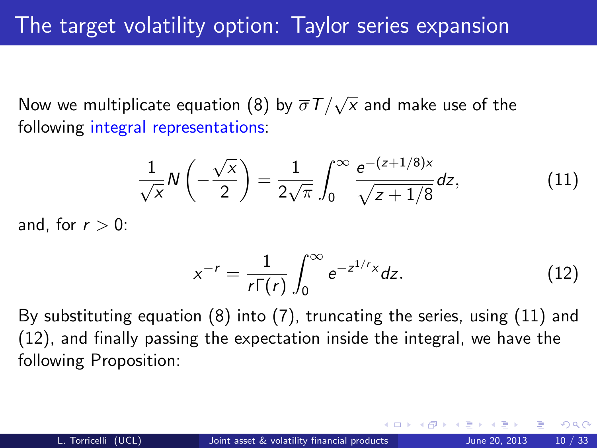Now we multiplicate equation [\(8\)](#page-17-1) by  $\overline{\sigma}T/$ √  $x$  and make use of the following integral representations:

<span id="page-18-0"></span>
$$
\frac{1}{\sqrt{x}}N\left(-\frac{\sqrt{x}}{2}\right) = \frac{1}{2\sqrt{\pi}}\int_0^\infty \frac{e^{-(z+1/8)x}}{\sqrt{z+1/8}}dz,\tag{11}
$$

and, for  $r > 0$ :

<span id="page-18-1"></span>
$$
x^{-r} = \frac{1}{r\Gamma(r)} \int_0^\infty e^{-z^{1/r}x} dz.
$$
 (12)

By substituting equation [\(8\)](#page-17-1) into [\(7\)](#page-13-1), truncating the series, using [\(11\)](#page-18-0) and [\(12\)](#page-18-1), and finally passing the expectation inside the integral, we have the following Proposition: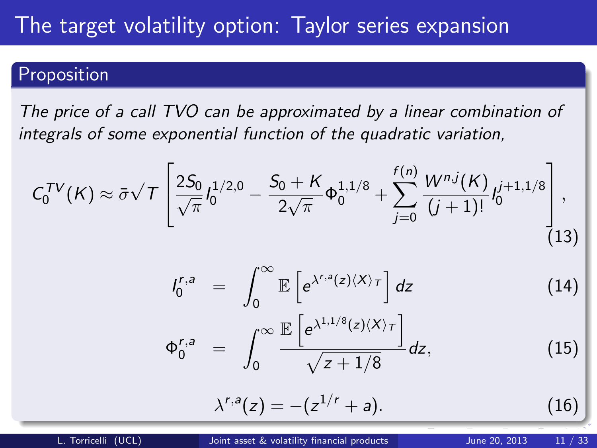#### Proposition

The price of a call TVO can be approximated by a linear combination of integrals of some exponential function of the quadratic variation,

<span id="page-19-1"></span><span id="page-19-0"></span>
$$
C_0^{TV}(K) \approx \bar{\sigma}\sqrt{T} \left[ \frac{2S_0}{\sqrt{\pi}} l_0^{1/2,0} - \frac{S_0 + K}{2\sqrt{\pi}} \Phi_0^{1,1/8} + \sum_{j=0}^{f(n)} \frac{W^{n,j}(K)}{(j+1)!} l_0^{j+1,1/8} \right],
$$
  
\n
$$
l_0^{r,a} = \int_0^\infty \mathbb{E} \left[ e^{\lambda^{r,a}(z)(X)\tau} \right] dz \qquad (14)
$$
  
\n
$$
\Phi_0^{r,a} = \int_0^\infty \frac{\mathbb{E} \left[ e^{\lambda^{1,1/8}(z)(X)\tau} \right]}{\sqrt{z+1/8}} dz, \qquad (15)
$$
  
\n
$$
\lambda^{r,a}(z) = -(z^{1/r} + a). \qquad (16)
$$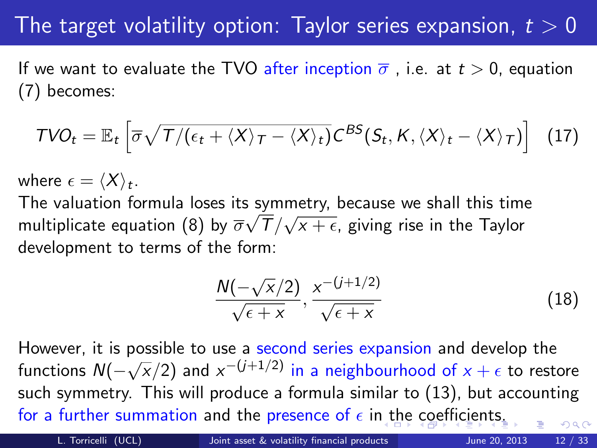If we want to evaluate the TVO after inception  $\overline{\sigma}$ , i.e. at  $t > 0$ , equation [\(7\)](#page-13-1) becomes:

$$
TVO_t = \mathbb{E}_t \left[ \overline{\sigma} \sqrt{T/(\epsilon_t + \langle X \rangle_T - \langle X \rangle_t)} C^{BS}(S_t, K, \langle X \rangle_t - \langle X \rangle_T) \right] \tag{17}
$$

where  $\epsilon = \langle X \rangle_t$ .

The valuation formula loses its symmetry, because we shall this time multiplicate equation [\(8\)](#page-17-1) by  $\overline{\sigma}\sqrt{T}/$ √  $x+\epsilon$ , giving rise in the Taylor development to terms of the form:

$$
\frac{N(-\sqrt{x}/2)}{\sqrt{\epsilon + x}}, \frac{x^{-(j+1/2)}}{\sqrt{\epsilon + x}}
$$
(18)

However, it is possible to use a second series expansion and develop the  $f$  nowever, it is possible.  $(\overline{\mathsf{x}}/2)$  and  $\mathsf{x}^{-(j+1/2)}$  in a neighbourhood of  $\mathsf{x}+\epsilon$  to restore such symmetry. This will produce a formula similar to [\(13\)](#page-19-1), but accounting for a furt[he](#page-21-0)r summation and th[e](#page-24-0) prese[n](#page-25-0)ce of  $\epsilon$  i[n t](#page-19-0)he [c](#page-19-0)[oe](#page-20-0)[ffi](#page-8-0)[ci](#page-9-0)en[t](#page-8-0)[s.](#page-9-0)  $\Omega$ 

L. Torricelli (UCL) [Joint asset & volatility financial products](#page-0-0) June 20, 2013 12 / 33

<span id="page-20-0"></span>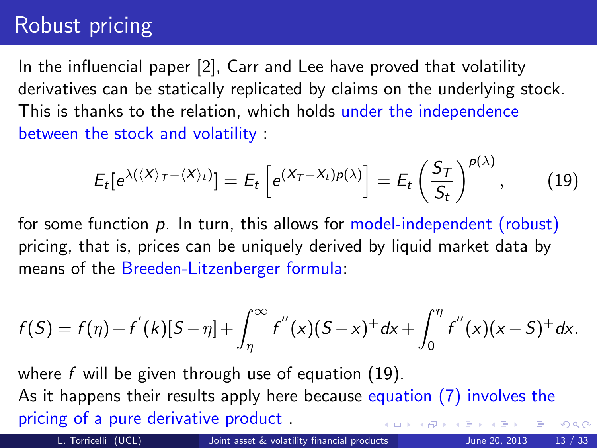## Robust pricing

In the influencial paper [\[2\]](#page-47-0), Carr and Lee have proved that volatility derivatives can be statically replicated by claims on the underlying stock. This is thanks to the relation, which holds under the independence between the stock and volatility :

<span id="page-21-1"></span>
$$
E_t[e^{\lambda(\langle X\rangle_T-\langle X\rangle_t)}]=E_t\left[e^{(X_T-X_t)\rho(\lambda)}\right]=E_t\left(\frac{S_T}{S_t}\right)^{\rho(\lambda)},\qquad(19)
$$

for some function  $p$ . In turn, this allows for model-independent (robust) pricing, that is, prices can be uniquely derived by liquid market data by means of the Breeden-Litzenberger formula:

$$
f(S) = f(\eta) + f'(k)[S - \eta] + \int_{\eta}^{\infty} f''(x)(S - x)^{+} dx + \int_{0}^{\eta} f''(x)(x - S)^{+} dx.
$$

where f will be given through use of equation  $(19)$ . As it happens their results apply here because equation [\(7\)](#page-13-1) involves the pricing of a pure derivative product .  $QQ$ 

<span id="page-21-0"></span>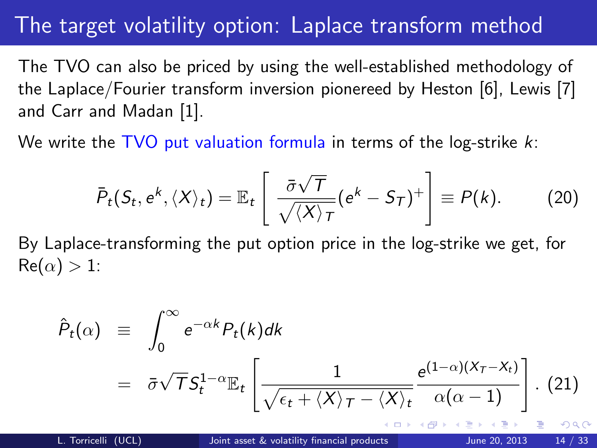### The target volatility option: Laplace transform method

The TVO can also be priced by using the well-established methodology of the Laplace/Fourier transform inversion pionereed by Heston [\[6\]](#page-48-1), Lewis [\[7\]](#page-48-2) and Carr and Madan [\[1\]](#page-47-1).

We write the  $TVO$  put valuation formula in terms of the log-strike  $k$ :

$$
\bar{P}_t(S_t, e^k, \langle X \rangle_t) = \mathbb{E}_t \left[ \frac{\bar{\sigma} \sqrt{\tau}}{\sqrt{\langle X \rangle_T}} (e^k - S_T)^+ \right] \equiv P(k). \tag{20}
$$

By Laplace-transforming the put option price in the log-strike we get, for  $Re(\alpha) > 1$ :

$$
\hat{P}_t(\alpha) = \int_0^\infty e^{-\alpha k} P_t(k) dk
$$
\n
$$
= \bar{\sigma} \sqrt{T} S_t^{1-\alpha} \mathbb{E}_t \left[ \frac{1}{\sqrt{\epsilon_t + \langle X \rangle_T - \langle X \rangle_t}} \frac{e^{(1-\alpha)(X_T - X_t)}}{\alpha(\alpha - 1)} \right]. \tag{21}
$$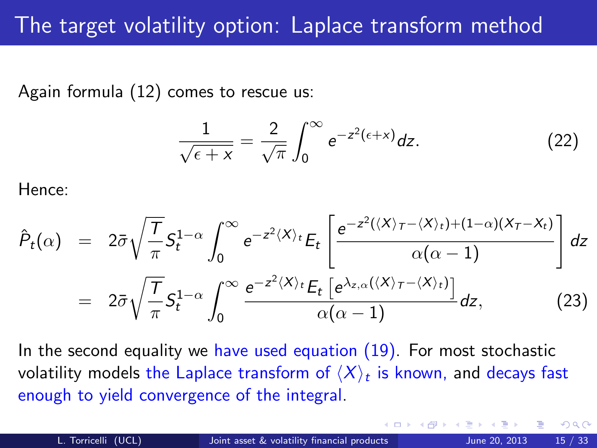Again formula [\(12\)](#page-18-1) comes to rescue us:

$$
\frac{1}{\sqrt{\epsilon + x}} = \frac{2}{\sqrt{\pi}} \int_0^\infty e^{-z^2(\epsilon + x)} dz.
$$
 (22)

Hence:

$$
\hat{P}_t(\alpha) = 2\bar{\sigma}\sqrt{\frac{T}{\pi}}S_t^{1-\alpha} \int_0^{\infty} e^{-z^2\langle X\rangle_t} E_t \left[ \frac{e^{-z^2(\langle X\rangle_T - \langle X\rangle_t) + (1-\alpha)(X_T - X_t)}}{\alpha(\alpha - 1)} \right] dz
$$
\n
$$
= 2\bar{\sigma}\sqrt{\frac{T}{\pi}}S_t^{1-\alpha} \int_0^{\infty} \frac{e^{-z^2\langle X\rangle_t} E_t \left[e^{\lambda_{z,\alpha}(\langle X\rangle_T - \langle X\rangle_t)}\right]}{\alpha(\alpha - 1)} dz,
$$
\n(23)

In the second equality we have used equation  $(19)$ . For most stochastic volatility models the Laplace transform of  $\langle X \rangle_t$  is known, and decays fast enough to yield convergence of the integral.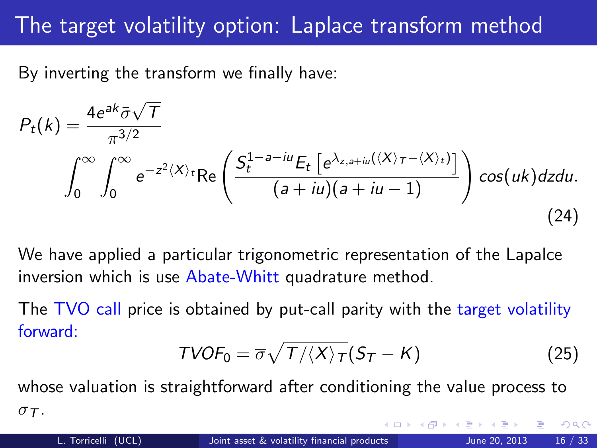# The target volatility option: Laplace transform method

By inverting the transform we finally have:

$$
P_t(k) = \frac{4e^{ak}\bar{\sigma}\sqrt{T}}{\pi^{3/2}}
$$

$$
\int_0^\infty \int_0^\infty e^{-z^2\langle X\rangle_t} \text{Re}\left(\frac{S_t^{1-a-iu}E_t\left[e^{\lambda_{z,a+iu}(\langle X\rangle_T - \langle X\rangle_t)}\right]}{(a+iu)(a+iu-1)}\right) \cos(uk)dzdu.
$$
(24)

We have applied a particular trigonometric representation of the Lapalce inversion which is use Abate-Whitt quadrature method.

The TVO call price is obtained by put-call parity with the target volatility forward:

<span id="page-24-0"></span>
$$
TVOF_0 = \overline{\sigma}\sqrt{T/\langle X\rangle_T}(S_T - K)
$$
 (25)

whose valuation is straightforward after conditioning the value process to  $\sigma$  $\tau$ .  $\Omega$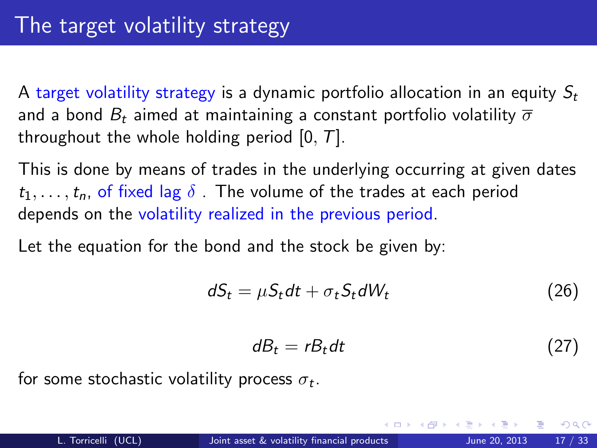A target volatility strategy is a dynamic portfolio allocation in an equity  $S_t$ and a bond  $B_t$  aimed at maintaining a constant portfolio volatility  $\overline{\sigma}$ throughout the whole holding period  $[0, T]$ .

This is done by means of trades in the underlying occurring at given dates  $t_1, \ldots, t_n$ , of fixed lag  $\delta$ . The volume of the trades at each period depends on the volatility realized in the previous period.

Let the equation for the bond and the stock be given by:

$$
dS_t = \mu S_t dt + \sigma_t S_t dW_t \qquad (26)
$$

<span id="page-25-0"></span>
$$
dB_t = rB_t dt \tag{27}
$$

for some stochastic volatility process  $\sigma_t.$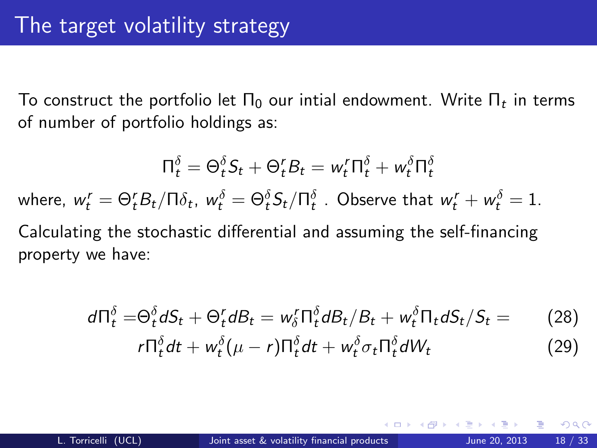To construct the portfolio let  $\Pi_0$  our intial endowment. Write  $\Pi_t$  in terms of number of portfolio holdings as:

$$
\Pi_t^{\delta} = \Theta_t^{\delta} S_t + \Theta_t^{\prime} B_t = w_t^{\prime} \Pi_t^{\delta} + w_t^{\delta} \Pi_t^{\delta}
$$
  
where,  $w_t^{\prime} = \Theta_t^{\prime} B_t / \Pi \delta_t$ ,  $w_t^{\delta} = \Theta_t^{\delta} S_t / \Pi_t^{\delta}$ . Observe that  $w_t^{\prime} + w_t^{\delta} = 1$ .  
Calculating the stochastic differential and assuming the self-financing property we have:

$$
d\Pi_t^{\delta} = \Theta_t^{\delta} dS_t + \Theta_t^r dB_t = w_{\delta}^r \Pi_t^{\delta} dB_t / B_t + w_t^{\delta} \Pi_t dS_t / S_t = r \Pi_t^{\delta} dt + w_t^{\delta} (\mu - r) \Pi_t^{\delta} dt + w_t^{\delta} \sigma_t \Pi_t^{\delta} dW_t
$$
 (29)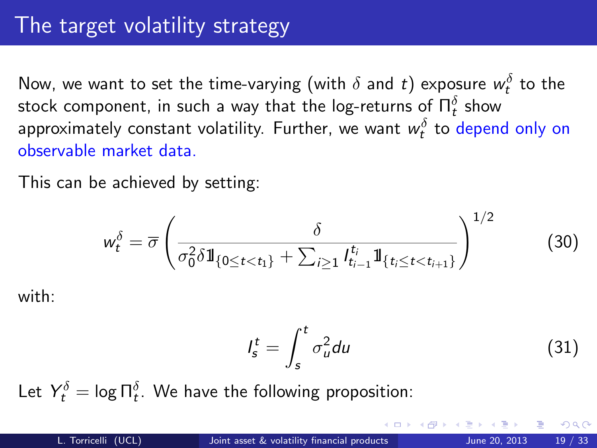Now, we want to set the time-varying (with  $\delta$  and  $t)$  exposure  $w^\delta_t$  to the stock component, in such a way that the log-returns of  $\Pi_t^\delta$  show approximately constant volatility. Further, we want  $w_t^\delta$  to depend only on observable market data.

This can be achieved by setting:

$$
w_t^{\delta} = \overline{\sigma} \left( \frac{\delta}{\sigma_0^2 \delta \mathbb{1}_{\{0 \le t < t_1\}} + \sum_{i \ge 1} l_{t_{i-1}}^{t_i} \mathbb{1}_{\{t_i \le t < t_{i+1}\}} } \right)^{1/2} \tag{30}
$$

with:

$$
I_s^t = \int_s^t \sigma_u^2 du \tag{31}
$$

Let  $Y_t^\delta = \log \Pi_t^\delta.$  We have the following proposition:

つひひ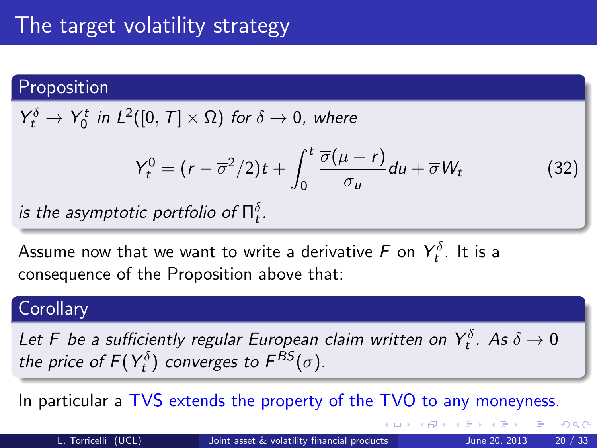#### Proposition

 $Y_t^{\delta} \rightarrow Y_0^t$  in  $L^2([0, T] \times \Omega)$  for  $\delta \rightarrow 0$ , where

$$
Y_t^0 = (r - \overline{\sigma}^2/2)t + \int_0^t \frac{\overline{\sigma}(\mu - r)}{\sigma_u} du + \overline{\sigma} W_t \tag{32}
$$

is the asymptotic portfolio of  $\Pi_t^\delta.$ 

Assume now that we want to write a derivative  $\digamma$  on  $Y^\delta_t$ . It is a consequence of the Proposition above that:

#### **Corollary**

Let F be a sufficiently regular European claim written on  $Y_t^\delta$ . As  $\delta \to 0$ the price of  $F(Y_t^{\delta})$  converges to  $F^{\textit{BS}}(\overline{\sigma})$ .

In particular a TVS extends the property of the TVO to any moneyness.

 $QQ$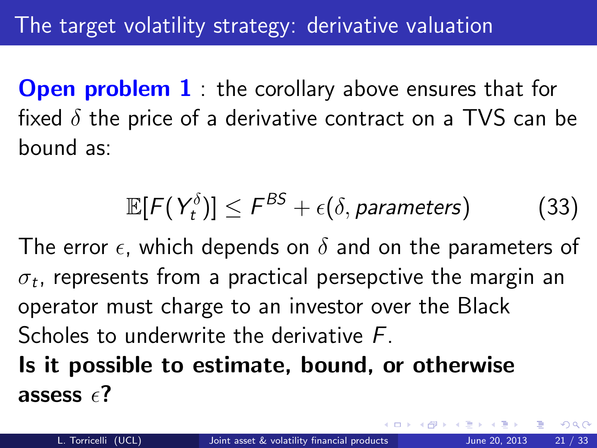**Open problem 1** the corollary above ensures that for fixed  $\delta$  the price of a derivative contract on a TVS can be bound as:

$$
\mathbb{E}[F(Y_t^{\delta})] \leq F^{\delta S} + \epsilon(\delta, parameters)
$$
 (33)

The error  $\epsilon$ , which depends on  $\delta$  and on the parameters of  $\sigma_t$ , represents from a practical persepctive the margin an operator must charge to an investor over the Black Scholes to underwrite the derivative F. Is it possible to estimate, bound, or otherwise assess  $\epsilon$ ?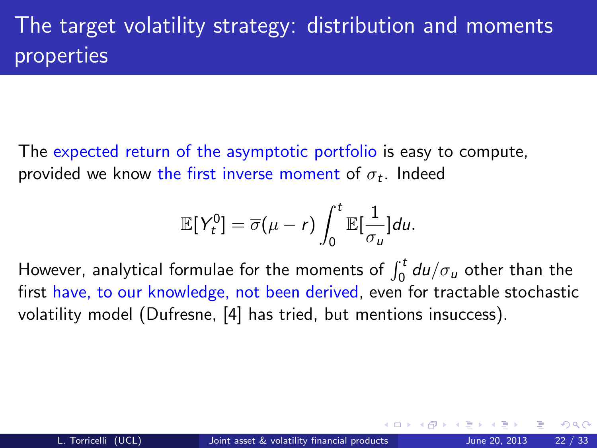# The target volatility strategy: distribution and moments properties

The expected return of the asymptotic portfolio is easy to compute, provided we know the first inverse moment of  $\sigma_t.$  Indeed

$$
\mathbb{E}[Y_t^0] = \overline{\sigma}(\mu - r) \int_0^t \mathbb{E}[\frac{1}{\sigma_u}] du.
$$

However, analytical formulae for the moments of  $\int_0^t du/\sigma_u$  other than the first have, to our knowledge, not been derived, even for tractable stochastic volatility model (Dufresne, [\[4\]](#page-47-2) has tried, but mentions insuccess).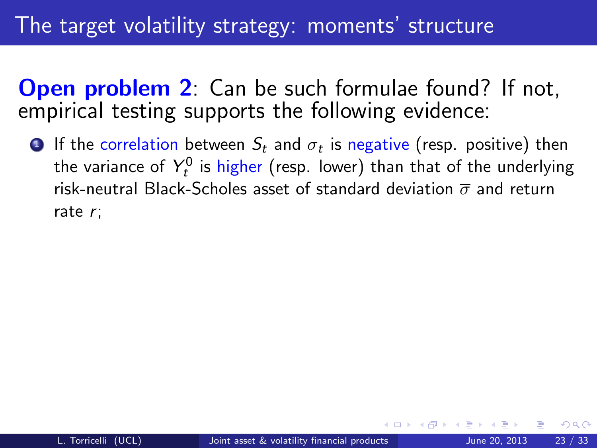### The target volatility strategy: moments' structure

**Open problem 2:** Can be such formulae found? If not, empirical testing supports the following evidence:

 $\bullet$  If the correlation between  $S_t$  and  $\sigma_t$  is negative (resp. positive) then the variance of  $Y_t^0$  is higher (resp. lower) than that of the underlying risk-neutral Black-Scholes asset of standard deviation  $\overline{\sigma}$  and return rate r;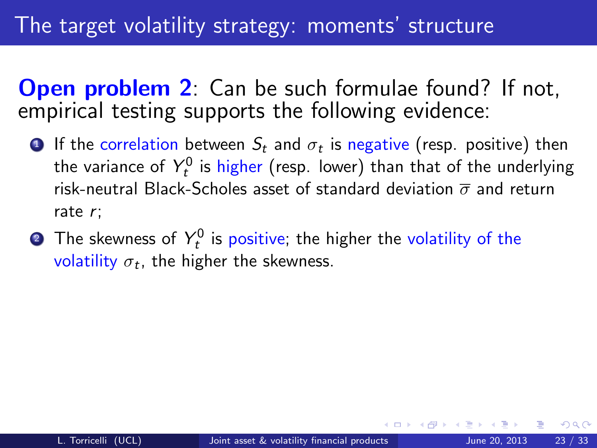### The target volatility strategy: moments' structure

**Open problem 2:** Can be such formulae found? If not, empirical testing supports the following evidence:

- $\bullet$  If the correlation between  $S_t$  and  $\sigma_t$  is negative (resp. positive) then the variance of  $Y_t^0$  is higher (resp. lower) than that of the underlying risk-neutral Black-Scholes asset of standard deviation  $\overline{\sigma}$  and return rate r;
- $\bullet$  The skewness of  $Y_t^0$  is positive; the higher the volatility of the volatility  $\sigma_t$ , the higher the skewness.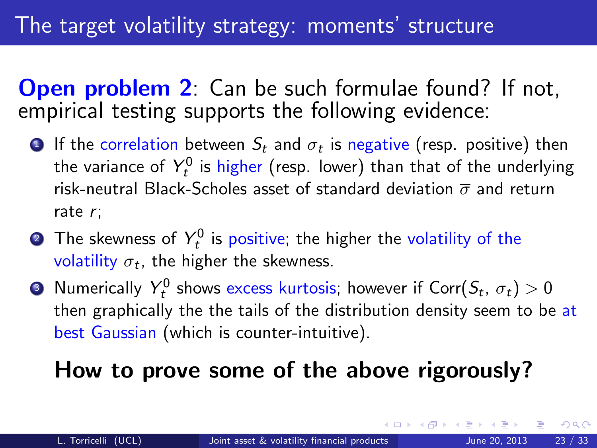**Open problem 2:** Can be such formulae found? If not, empirical testing supports the following evidence:

- $\bullet$  If the correlation between  $S_t$  and  $\sigma_t$  is negative (resp. positive) then the variance of  $Y_t^0$  is higher (resp. lower) than that of the underlying risk-neutral Black-Scholes asset of standard deviation  $\overline{\sigma}$  and return rate r;
- $\bullet$  The skewness of  $Y_t^0$  is positive; the higher the volatility of the volatility  $\sigma_t$ , the higher the skewness.
- $\bullet$  Numerically  $Y_t^0$  shows excess kurtosis; however if Corr $(\mathcal{S}_t,\,\sigma_t)>0$ then graphically the the tails of the distribution density seem to be at best Gaussian (which is counter-intuitive).

# <span id="page-33-0"></span>How to prove some of the above rigorously?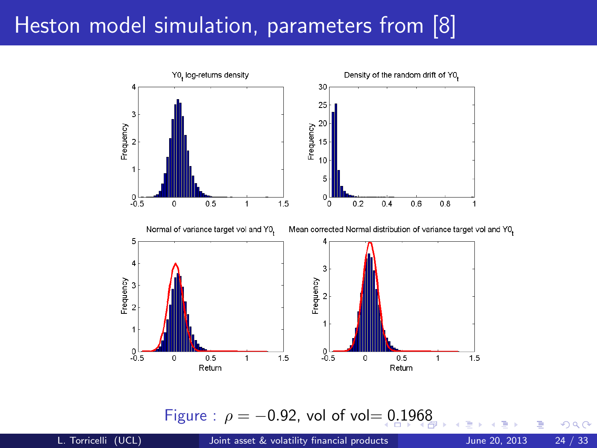

<span id="page-34-0"></span>Figure :  $\rho = -0.92$ , vol of vol[= 0](#page-33-0).[19](#page-35-0)[6](#page-33-0)[8](#page-34-0)

L. Torricelli (UCL) [Joint asset & volatility financial products](#page-0-0) June 20, 2013 24 / 33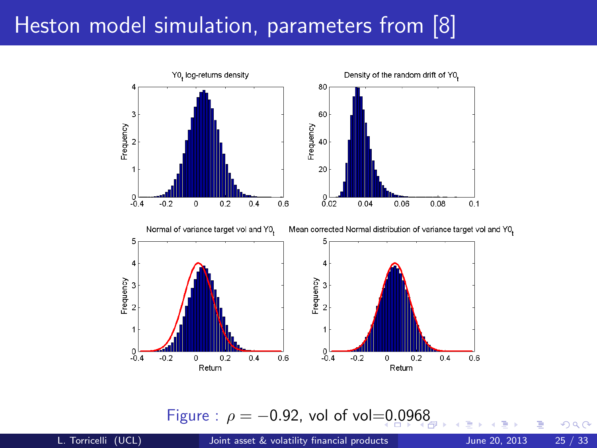

<span id="page-35-0"></span>Figure :  $\rho = -0.92$ , vol of vol[=0](#page-34-0).[09](#page-36-0)[6](#page-34-0)[8](#page-35-0)

L. Torricelli (UCL) [Joint asset & volatility financial products](#page-0-0) June 20, 2013 25 / 33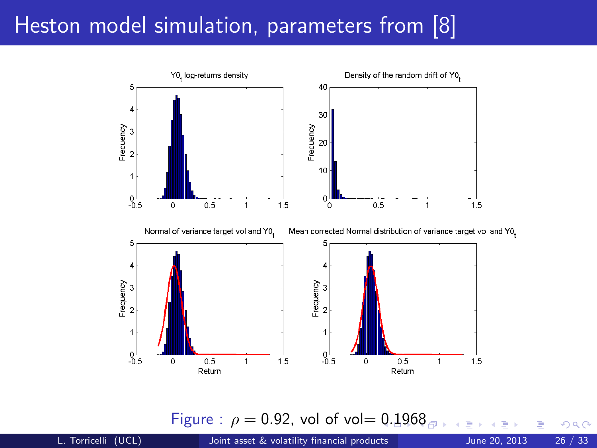

<span id="page-36-0"></span>Figure :  $\rho = 0.92$  $\rho = 0.92$  $\rho = 0.92$ , vol of vol=  $0.1968$  $0.1968$  $0.1968$ 

L. Torricelli (UCL) [Joint asset & volatility financial products](#page-0-0) June 20, 2013 26 / 33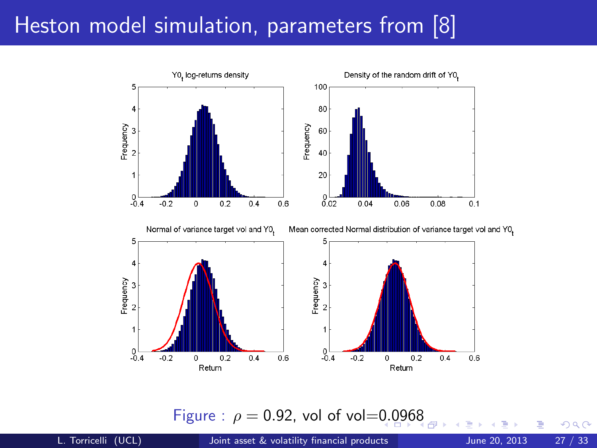

<span id="page-37-0"></span>Figure :  $\rho = 0.92$  $\rho = 0.92$  $\rho = 0.92$ , vol of vol=0.0[96](#page-38-0)[8](#page-36-0)

L. Torricelli (UCL) [Joint asset & volatility financial products](#page-0-0) June 20, 2013 27 / 33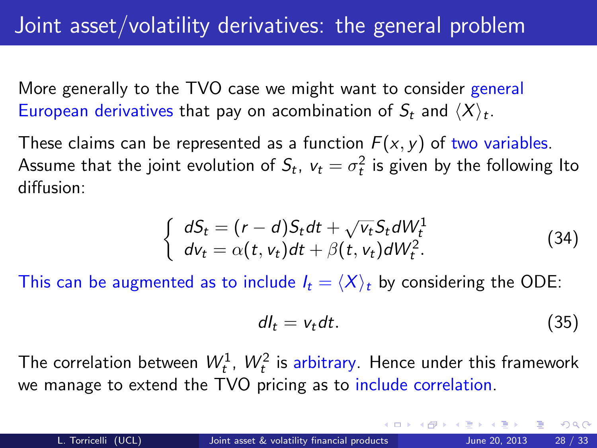More generally to the TVO case we might want to consider general European derivatives that pay on acombination of  $S_t$  and  $\langle X \rangle_t.$ 

These claims can be represented as a function  $F(x, y)$  of two variables. Assume that the joint evolution of  $S_t$ ,  $v_t = \sigma_t^2$  is given by the following Ito diffusion:

<span id="page-38-1"></span>
$$
\begin{cases}\ndS_t = (r - d)S_t dt + \sqrt{v_t} S_t dW_t^1 \\
dv_t = \alpha(t, v_t) dt + \beta(t, v_t) dW_t^2.\n\end{cases}
$$
\n(34)

This can be augmented as to include  $I_t = \langle X \rangle_t$  by considering the ODE:

<span id="page-38-2"></span><span id="page-38-0"></span>
$$
dl_t = v_t dt. \t\t(35)
$$

The correlation between  $W_t^1$ ,  $W_t^2$  is arbitrary. Hence under this framework we manage to extend the TVO pricing as to include correlation.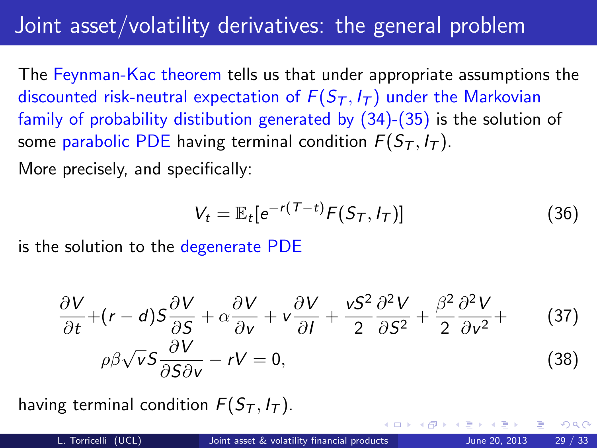# Joint asset/volatility derivatives: the general problem

The Feynman-Kac theorem tells us that under appropriate assumptions the discounted risk-neutral expectation of  $F(S_T, I_T)$  under the Markovian family of probability distibution generated by [\(34\)](#page-38-1)-[\(35\)](#page-38-2) is the solution of some parabolic PDE having terminal condition  $F(S_T, I_T)$ .

More precisely, and specifically:

<span id="page-39-0"></span>
$$
V_t = \mathbb{E}_t[e^{-r(T-t)}F(S_T, I_T)] \tag{36}
$$

is the solution to the degenerate PDE

<span id="page-39-1"></span>
$$
\frac{\partial V}{\partial t} + (r - d)S\frac{\partial V}{\partial S} + \alpha \frac{\partial V}{\partial v} + v\frac{\partial V}{\partial I} + \frac{vS^2}{2}\frac{\partial^2 V}{\partial S^2} + \frac{\beta^2}{2}\frac{\partial^2 V}{\partial v^2} + (37)\rho\beta\sqrt{v}S\frac{\partial V}{\partial S\partial v} - rV = 0,
$$
\n(38)

having terminal condition  $F(S_T, I_T)$ .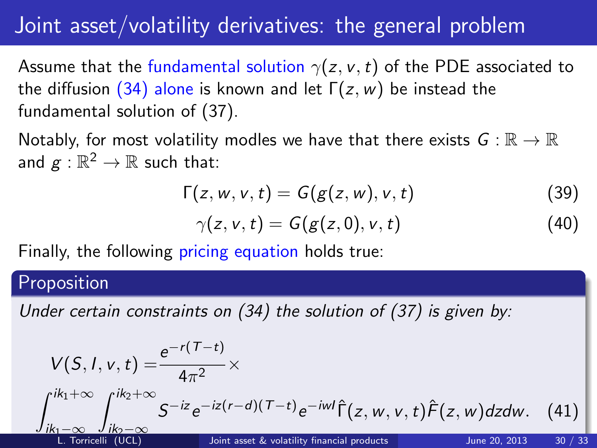### Joint asset/volatility derivatives: the general problem

Assume that the fundamental solution  $\gamma(z, v, t)$  of the PDE associated to the diffusion [\(34\)](#page-38-1) alone is known and let  $\Gamma(z,w)$  be instead the fundamental solution of [\(37\)](#page-39-1).

Notably, for most volatility modles we have that there exists  $G : \mathbb{R} \to \mathbb{R}$ and  $g:\mathbb{R}^2\to\mathbb{R}$  such that:

$$
\Gamma(z, w, v, t) = G(g(z, w), v, t) \tag{39}
$$

<span id="page-40-0"></span>
$$
\gamma(z,v,t)=G(g(z,0),v,t)\qquad \qquad (40)
$$

Finally, the following pricing equation holds true:

#### Proposition

Under certain constraints on [\(34\)](#page-38-1) the solution of [\(37\)](#page-39-1) is given by:

<span id="page-40-1"></span>
$$
V(S, I, v, t) = \frac{e^{-r(T-t)}}{4\pi^2} \times \int_{ik_1-\infty}^{ik_1+\infty} \int_{\substack{j,k_2-\infty \ L:\text{ Torricelli (UCL)}}}^{ik_2+\infty} S^{-iz} e^{-iz(r-d)(T-t)} e^{-iwt} \hat{\Gamma}(z, w, v, t) \hat{F}(z, w) dz dw. \tag{41}
$$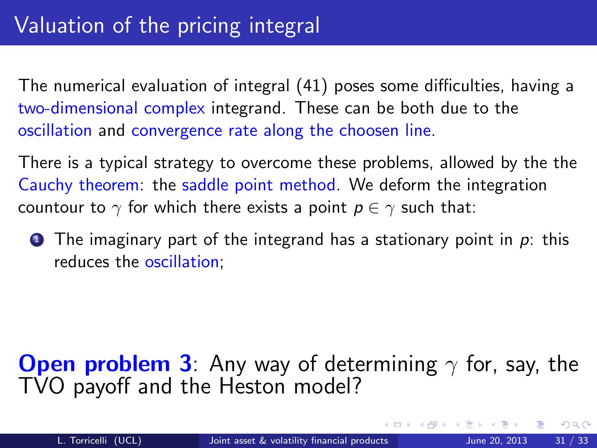The numerical evaluation of integral [\(41\)](#page-40-1) poses some difficulties, having a two-dimensional complex integrand. These can be both due to the oscillation and convergence rate along the choosen line.

There is a typical strategy to overcome these problems, allowed by the the Cauchy theorem: the saddle point method. We deform the integration countour to  $\gamma$  for which there exists a point  $p \in \gamma$  such that:

**1** The imaginary part of the integrand has a stationary point in  $p$ : this reduces the oscillation;

### <span id="page-41-0"></span>**Open problem 3:** Any way of determining  $\gamma$  for, say, the TVO payoff and the Heston model?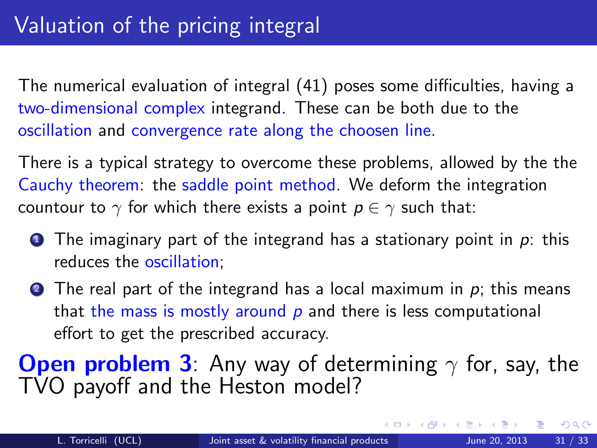The numerical evaluation of integral [\(41\)](#page-40-1) poses some difficulties, having a two-dimensional complex integrand. These can be both due to the oscillation and convergence rate along the choosen line.

There is a typical strategy to overcome these problems, allowed by the the Cauchy theorem: the saddle point method. We deform the integration countour to  $\gamma$  for which there exists a point  $p \in \gamma$  such that:

- **1** The imaginary part of the integrand has a stationary point in  $p$ : this reduces the oscillation;
- **2** The real part of the integrand has a local maximum in  $p$ ; this means that the mass is mostly around  $p$  and there is less computational effort to get the prescribed accuracy.

**Open problem 3:** Any way of determining  $\gamma$  for, say, the TVO payoff and the Heston model?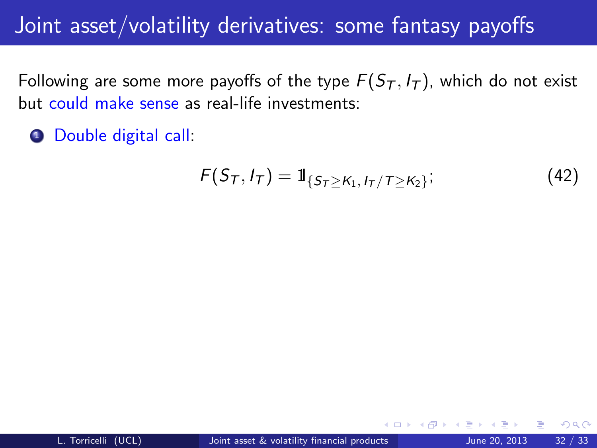### Joint asset/volatility derivatives: some fantasy payoffs

Following are some more payoffs of the type  $F(S_T, I_T)$ , which do not exist but could make sense as real-life investments:

**1** Double digital call:

$$
F(S_T, I_T) = 1\!\!1_{\{S_T \geq K_1, I_T/T \geq K_2\}};
$$
\n(42)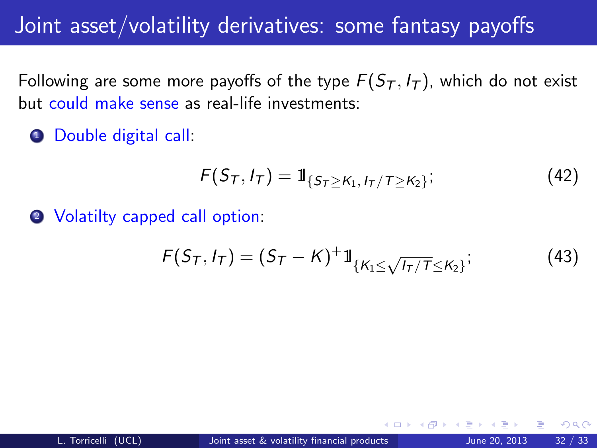### Joint asset/volatility derivatives: some fantasy payoffs

Following are some more payoffs of the type  $F(S_T, I_T)$ , which do not exist but could make sense as real-life investments:

**1** Double digital call:

$$
F(S_T, I_T) = 1\!\!1_{\{S_T \geq K_1, I_T/T \geq K_2\}};
$$
\n(42)

2 Volatilty capped call option:

$$
F(S_T, I_T) = (S_T - K)^+ 1\!1_{\{K_1 \le \sqrt{I_T/T} \le K_2\}};
$$
 (43)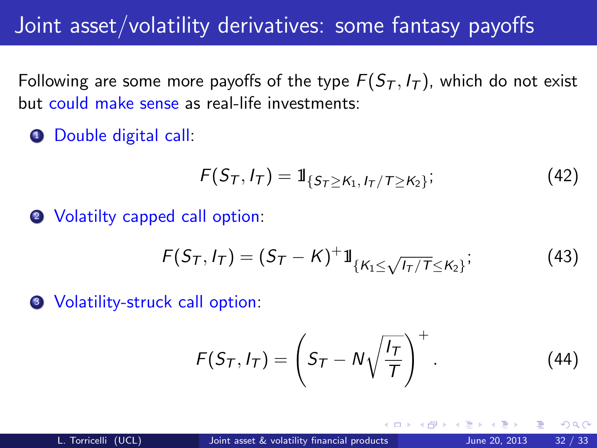### Joint asset/volatility derivatives: some fantasy payoffs

Following are some more payoffs of the type  $F(S_T, I_T)$ , which do not exist but could make sense as real-life investments:

**1** Double digital call:

$$
F(S_T, I_T) = 1\!\!1_{\{S_T \geq K_1, I_T/T \geq K_2\}};
$$
\n(42)

2 Volatilty capped call option:

$$
F(S_T, I_T) = (S_T - K)^+ 1\!1_{\{K_1 \le \sqrt{I_T/T} \le K_2\}};
$$
 (43)

**3** Volatility-struck call option:

<span id="page-45-0"></span>
$$
F(S_T, I_T) = \left(S_T - N\sqrt{\frac{I_T}{T}}\right)^+.
$$
 (44)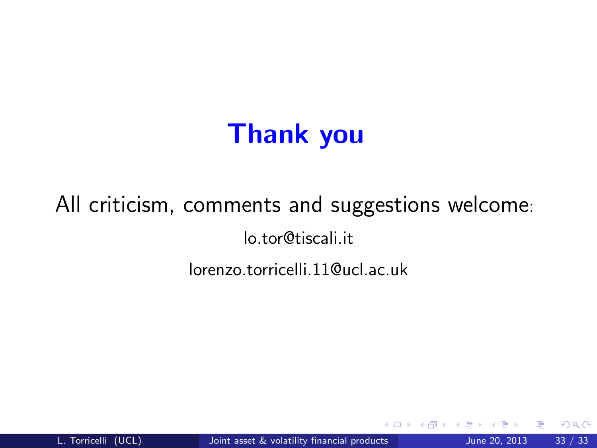# <span id="page-46-0"></span>Thank you

# All criticism, comments and suggestions welcome: lo.tor@tiscali.it lorenzo.torricelli.11@ucl.ac.uk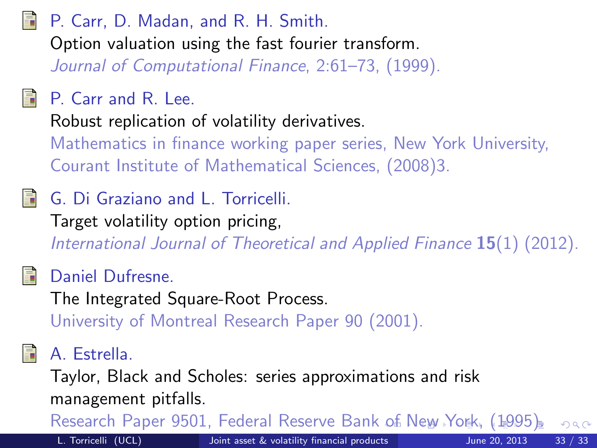<span id="page-47-1"></span>P. Carr, D. Madan, and R. H. Smith. Option valuation using the fast fourier transform. Journal of Computational Finance, 2:61–73, (1999).

#### <span id="page-47-0"></span>P. Carr and R. Lee.

Robust replication of volatility derivatives.

Mathematics in finance working paper series, New York University, Courant Institute of Mathematical Sciences, (2008)3.

G. Di Graziano and L. Torricelli.

Target volatility option pricing,

International Journal of Theoretical and Applied Finance 15(1) (2012).

#### <span id="page-47-2"></span>Daniel Dufresne.

The Integrated Square-Root Process. University of Montreal Research Paper 90 (2001).

#### A. Estrella.

Taylor, Black and Scholes: series approximations and risk management pitfalls.

<span id="page-47-3"></span>Research Paper 9501, Federal Reserve Bank [o](#page-46-0)f [N](#page-48-0)[e](#page-45-0)[w](#page-46-0) [Y](#page-47-3)[o](#page-37-0)[r](#page-38-0)[k,](#page-48-0) [\(](#page-37-0)[1](#page-38-0)[99](#page-48-0)[5\)](#page-0-0)[.](#page-48-0)  $QQ$